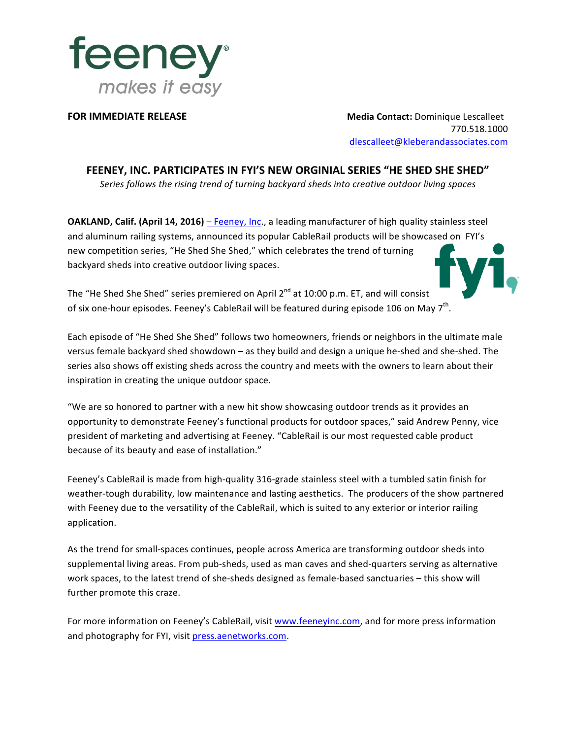

**FOR IMMEDIATE RELEASE** *NECERDE* **<b>INFORE IMMEDIATE RELEASE** *Media Contact: Dominique Lescalleet* 770.518.1000 dlescalleet@kleberandassociates.com

FEENEY, INC. PARTICIPATES IN FYI'S NEW ORGINIAL SERIES "HE SHED SHE SHED"

Series follows the rising trend of turning backyard sheds into creative outdoor living spaces

**OAKLAND, Calif. (April 14, 2016)** – Feeney, Inc., a leading manufacturer of high quality stainless steel and aluminum railing systems, announced its popular CableRail products will be showcased on FYI's new competition series, "He Shed She Shed," which celebrates the trend of turning backyard sheds into creative outdoor living spaces.

The "He Shed She Shed" series premiered on April  $2^{nd}$  at 10:00 p.m. ET, and will consist of six one-hour episodes. Feeney's CableRail will be featured during episode 106 on May 7<sup>th</sup>.

Each episode of "He Shed She Shed" follows two homeowners, friends or neighbors in the ultimate male versus female backyard shed showdown – as they build and design a unique he-shed and she-shed. The series also shows off existing sheds across the country and meets with the owners to learn about their inspiration in creating the unique outdoor space.

"We are so honored to partner with a new hit show showcasing outdoor trends as it provides an opportunity to demonstrate Feeney's functional products for outdoor spaces," said Andrew Penny, vice president of marketing and advertising at Feeney. "CableRail is our most requested cable product because of its beauty and ease of installation."

Feeney's CableRail is made from high-quality 316-grade stainless steel with a tumbled satin finish for weather-tough durability, low maintenance and lasting aesthetics. The producers of the show partnered with Feeney due to the versatility of the CableRail, which is suited to any exterior or interior railing application.

As the trend for small-spaces continues, people across America are transforming outdoor sheds into supplemental living areas. From pub-sheds, used as man caves and shed-quarters serving as alternative work spaces, to the latest trend of she-sheds designed as female-based sanctuaries – this show will further promote this craze.

For more information on Feeney's CableRail, visit www.feeneyinc.com, and for more press information and photography for FYI, visit press.aenetworks.com.